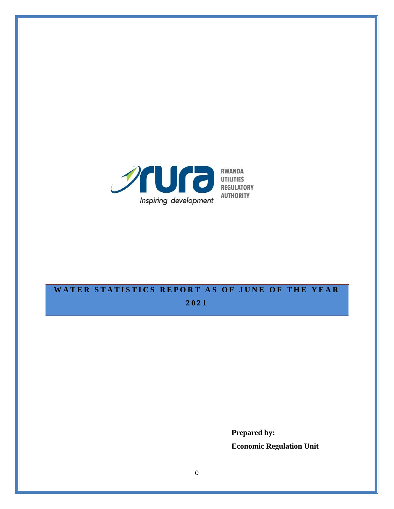

# WATER STATISTICS REPORT AS OF JUNE OF THE YEAR

**2021**

**Prepared by: Economic Regulation Unit**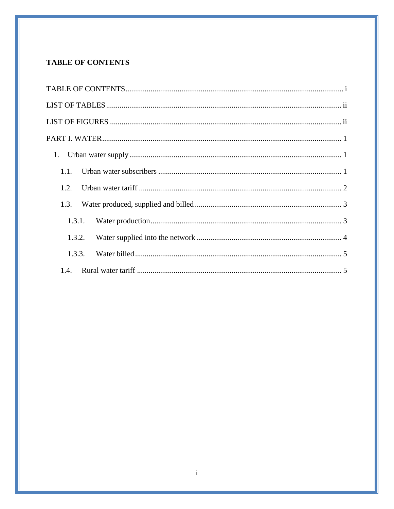## <span id="page-1-0"></span>**TABLE OF CONTENTS**

| 1.1.   |
|--------|
| 1.2.   |
| 1.3.   |
| 1.3.1. |
| 1.3.2. |
| 1.3.3. |
| 1.4.   |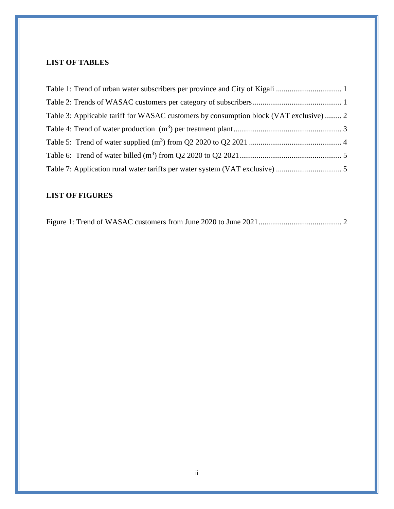## <span id="page-2-0"></span>**LIST OF TABLES**

| Table 3: Applicable tariff for WASAC customers by consumption block (VAT exclusive) 2 |  |
|---------------------------------------------------------------------------------------|--|
|                                                                                       |  |
|                                                                                       |  |
|                                                                                       |  |
|                                                                                       |  |

# <span id="page-2-1"></span>**LIST OF FIGURES**

<u> 1989 - Andrea Santa Andrea Andrea Andrea Andrea Andrea Andrea Andrea Andrea Andrea Andrea Andrea Andrea Andr</u>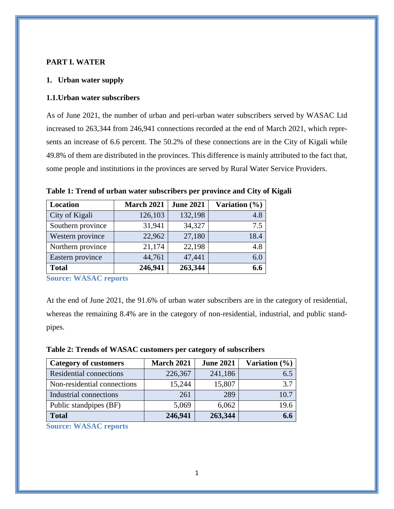#### <span id="page-3-0"></span>**PART I. WATER**

#### <span id="page-3-1"></span>**1. Urban water supply**

#### <span id="page-3-2"></span>**1.1.Urban water subscribers**

As of June 2021, the number of urban and peri-urban water subscribers served by WASAC Ltd increased to 263,344 from 246,941 connections recorded at the end of March 2021, which represents an increase of 6.6 percent. The 50.2% of these connections are in the City of Kigali while 49.8% of them are distributed in the provinces. This difference is mainly attributed to the fact that, some people and institutions in the provinces are served by Rural Water Service Providers.

| <b>Location</b>   | <b>March 2021</b> | <b>June 2021</b> | Variation $(\% )$ |
|-------------------|-------------------|------------------|-------------------|
| City of Kigali    | 126,103           | 132,198          | 4.8               |
| Southern province | 31,941            | 34,327           | 7.5               |
| Western province  | 22,962            | 27,180           | 18.4              |
| Northern province | 21,174            | 22,198           | 4.8               |
| Eastern province  | 44,761            | 47,441           | 6.0               |
| <b>Total</b>      | 246,941           | 263,344          | 6.6               |

<span id="page-3-3"></span>**Table 1: Trend of urban water subscribers per province and City of Kigali** 

**Source: WASAC reports**

At the end of June 2021, the 91.6% of urban water subscribers are in the category of residential, whereas the remaining 8.4% are in the category of non-residential, industrial, and public standpipes.

<span id="page-3-4"></span>

| Table 2: Trends of WASAC customers per category of subscribers |  |
|----------------------------------------------------------------|--|
|----------------------------------------------------------------|--|

| <b>Category of customers</b>   | <b>March 2021</b> | <b>June 2021</b> | Variation $(\% )$ |
|--------------------------------|-------------------|------------------|-------------------|
| <b>Residential connections</b> | 226,367           | 241,186          | 6.5               |
| Non-residential connections    | 15,244            | 15,807           | 3.7               |
| Industrial connections         | 261               | 289              | 10.7              |
| Public standpipes (BF)         | 5,069             | 6,062            | 19.6              |
| <b>Total</b>                   | 246,941           | 263,344          | 6.6               |

**Source: WASAC reports**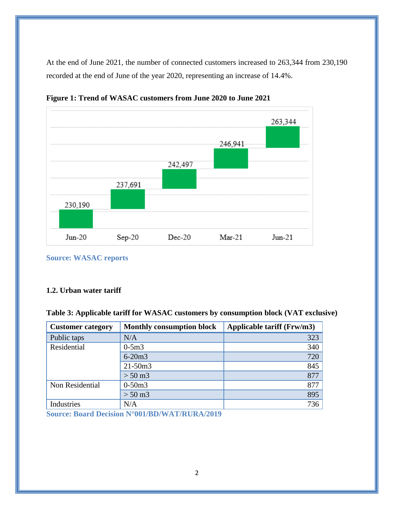At the end of June 2021, the number of connected customers increased to 263,344 from 230,190 recorded at the end of June of the year 2020, representing an increase of 14.4%.



<span id="page-4-2"></span>**Figure 1: Trend of WASAC customers from June 2020 to June 2021**

**Source: WASAC reports**

### <span id="page-4-0"></span>**1.2. Urban water tariff**

<span id="page-4-1"></span>

|  | Table 3: Applicable tariff for WASAC customers by consumption block (VAT exclusive) |  |  |  |
|--|-------------------------------------------------------------------------------------|--|--|--|
|--|-------------------------------------------------------------------------------------|--|--|--|

| <b>Customer category</b> | <b>Monthly consumption block</b> | Applicable tariff (Frw/m3) |
|--------------------------|----------------------------------|----------------------------|
| Public taps              | N/A                              | 323                        |
| Residential              | $0-5m3$                          | 340                        |
|                          | $6 - 20m3$                       | 720                        |
|                          | $21 - 50m3$                      | 845                        |
|                          | $> 50 \text{ m}$ 3               | 877                        |
| Non Residential          | $0-50m3$                         | 877                        |
|                          | $> 50 \text{ m}$ 3               | 895                        |
| Industries               | N/A                              | 736                        |

**Source: Board [Decision N°001/BD/WAT/RURA/2019](https://www.rura.rw/fileadmin/Documents/Water/Board%20Decisions/Board_Decision_For_Urban_Water_End_User_tariffs.pdf)**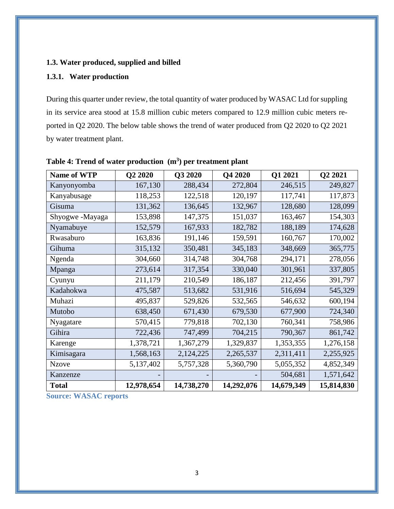### <span id="page-5-0"></span>**1.3. Water produced, supplied and billed**

## <span id="page-5-1"></span>**1.3.1. Water production**

During this quarter under review, the total quantity of water produced by WASAC Ltd for suppling in its service area stood at 15.8 million cubic meters compared to 12.9 million cubic meters reported in Q2 2020. The below table shows the trend of water produced from Q2 2020 to Q2 2021 by water treatment plant.

| <b>Name of WTP</b> | Q2 2020    | Q3 2020    | Q4 2020    | Q1 2021    | Q2 2021    |
|--------------------|------------|------------|------------|------------|------------|
| Kanyonyomba        | 167,130    | 288,434    | 272,804    | 246,515    | 249,827    |
| Kanyabusage        | 118,253    | 122,518    | 120,197    | 117,741    | 117,873    |
| Gisuma             | 131,362    | 136,645    | 132,967    | 128,680    | 128,099    |
| Shyogwe-Mayaga     | 153,898    | 147,375    | 151,037    | 163,467    | 154,303    |
| Nyamabuye          | 152,579    | 167,933    | 182,782    | 188,189    | 174,628    |
| Rwasaburo          | 163,836    | 191,146    | 159,591    | 160,767    | 170,002    |
| Gihuma             | 315,132    | 350,481    | 345,183    | 348,669    | 365,775    |
| Ngenda             | 304,660    | 314,748    | 304,768    | 294,171    | 278,056    |
| Mpanga             | 273,614    | 317,354    | 330,040    | 301,961    | 337,805    |
| Cyunyu             | 211,179    | 210,549    | 186,187    | 212,456    | 391,797    |
| Kadahokwa          | 475,587    | 513,682    | 531,916    | 516,694    | 545,329    |
| Muhazi             | 495,837    | 529,826    | 532,565    | 546,632    | 600,194    |
| Mutobo             | 638,450    | 671,430    | 679,530    | 677,900    | 724,340    |
| Nyagatare          | 570,415    | 779,818    | 702,130    | 760,341    | 758,986    |
| Gihira             | 722,436    | 747,499    | 704,215    | 790,367    | 861,742    |
| Karenge            | 1,378,721  | 1,367,279  | 1,329,837  | 1,353,355  | 1,276,158  |
| Kimisagara         | 1,568,163  | 2,124,225  | 2,265,537  | 2,311,411  | 2,255,925  |
| <b>Nzove</b>       | 5,137,402  | 5,757,328  | 5,360,790  | 5,055,352  | 4,852,349  |
| Kanzenze           |            |            |            | 504,681    | 1,571,642  |
| <b>Total</b>       | 12,978,654 | 14,738,270 | 14,292,076 | 14,679,349 | 15,814,830 |

<span id="page-5-2"></span>

| Table 4: Trend of water production $(m3)$ per treatment plant |  |
|---------------------------------------------------------------|--|
|---------------------------------------------------------------|--|

**Source: WASAC reports**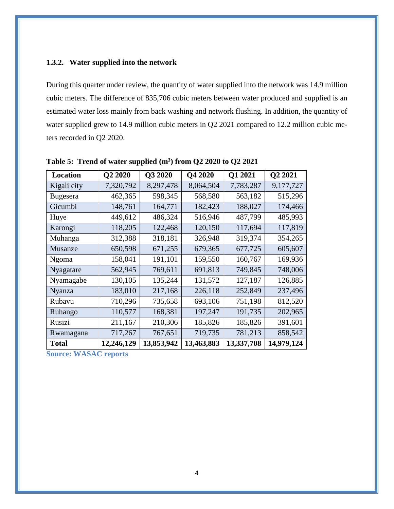#### <span id="page-6-0"></span>**1.3.2. Water supplied into the network**

During this quarter under review, the quantity of water supplied into the network was 14.9 million cubic meters. The difference of 835,706 cubic meters between water produced and supplied is an estimated water loss mainly from back washing and network flushing. In addition, the quantity of water supplied grew to 14.9 million cubic meters in Q2 2021 compared to 12.2 million cubic meters recorded in Q2 2020.

| <b>Location</b> | Q2 2020    | Q3 2020    | Q4 2020    | Q1 2021    | Q2 2021    |
|-----------------|------------|------------|------------|------------|------------|
| Kigali city     | 7,320,792  | 8,297,478  | 8,064,504  | 7,783,287  | 9,177,727  |
| Bugesera        | 462,365    | 598,345    | 568,580    | 563,182    | 515,296    |
| Gicumbi         | 148,761    | 164,771    | 182,423    | 188,027    | 174,466    |
| Huye            | 449,612    | 486,324    | 516,946    | 487,799    | 485,993    |
| Karongi         | 118,205    | 122,468    | 120,150    | 117,694    | 117,819    |
| Muhanga         | 312,388    | 318,181    | 326,948    | 319,374    | 354,265    |
| Musanze         | 650,598    | 671,255    | 679,365    | 677,725    | 605,607    |
| <b>Ngoma</b>    | 158,041    | 191,101    | 159,550    | 160,767    | 169,936    |
| Nyagatare       | 562,945    | 769,611    | 691,813    | 749,845    | 748,006    |
| Nyamagabe       | 130,105    | 135,244    | 131,572    | 127,187    | 126,885    |
| Nyanza          | 183,010    | 217,168    | 226,118    | 252,849    | 237,496    |
| Rubavu          | 710,296    | 735,658    | 693,106    | 751,198    | 812,520    |
| Ruhango         | 110,577    | 168,381    | 197,247    | 191,735    | 202,965    |
| Rusizi          | 211,167    | 210,306    | 185,826    | 185,826    | 391,601    |
| Rwamagana       | 717,267    | 767,651    | 719,735    | 781,213    | 858,542    |
| <b>Total</b>    | 12,246,129 | 13,853,942 | 13,463,883 | 13,337,708 | 14,979,124 |

<span id="page-6-1"></span>**Table 5: Trend of water supplied (m<sup>3</sup> ) from Q2 2020 to Q2 2021**

**Source: WASAC reports**